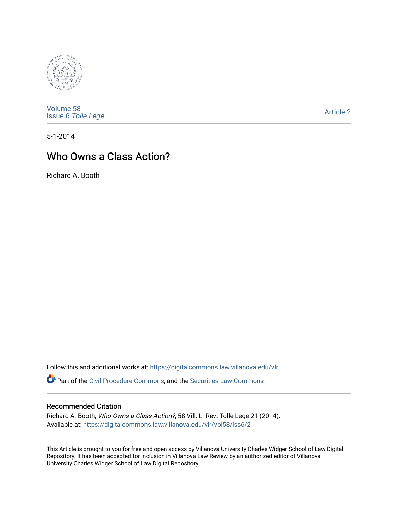

[Volume 58](https://digitalcommons.law.villanova.edu/vlr/vol58) Issue 6 [Tolle Lege](https://digitalcommons.law.villanova.edu/vlr/vol58/iss6) 

[Article 2](https://digitalcommons.law.villanova.edu/vlr/vol58/iss6/2) 

5-1-2014

# Who Owns a Class Action?

Richard A. Booth

Follow this and additional works at: [https://digitalcommons.law.villanova.edu/vlr](https://digitalcommons.law.villanova.edu/vlr?utm_source=digitalcommons.law.villanova.edu%2Fvlr%2Fvol58%2Fiss6%2F2&utm_medium=PDF&utm_campaign=PDFCoverPages)

Part of the [Civil Procedure Commons,](http://network.bepress.com/hgg/discipline/584?utm_source=digitalcommons.law.villanova.edu%2Fvlr%2Fvol58%2Fiss6%2F2&utm_medium=PDF&utm_campaign=PDFCoverPages) and the Securities Law Commons

## Recommended Citation

Richard A. Booth, Who Owns a Class Action?, 58 Vill. L. Rev. Tolle Lege 21 (2014). Available at: [https://digitalcommons.law.villanova.edu/vlr/vol58/iss6/2](https://digitalcommons.law.villanova.edu/vlr/vol58/iss6/2?utm_source=digitalcommons.law.villanova.edu%2Fvlr%2Fvol58%2Fiss6%2F2&utm_medium=PDF&utm_campaign=PDFCoverPages) 

This Article is brought to you for free and open access by Villanova University Charles Widger School of Law Digital Repository. It has been accepted for inclusion in Villanova Law Review by an authorized editor of Villanova University Charles Widger School of Law Digital Repository.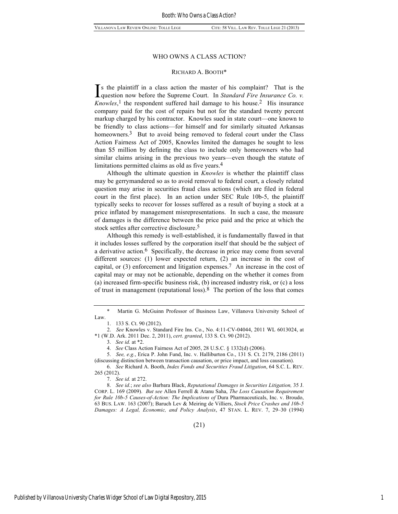### WHO OWNS A CLASS ACTION?

### RICHARD A. BOOTH\*

s the plaintiff in a class action the master of his complaint? That is the Is the plaintiff in a class action the master of his complaint? That is the question now before the Supreme Court. In *Standard Fire Insurance Co. v.*  $Knowles$ ,<sup>1</sup> the respondent suffered hail damage to his house.<sup>2</sup> His insurance company paid for the cost of repairs but not for the standard twenty percent markup charged by his contractor. Knowles sued in state court—one known to be friendly to class actions—for himself and for similarly situated Arkansas homeowners.<sup>3</sup> But to avoid being removed to federal court under the Class Action Fairness Act of 2005, Knowles limited the damages he sought to less than \$5 million by defining the class to include only homeowners who had similar claims arising in the previous two years—even though the statute of limitations permitted claims as old as five years.<sup>4</sup>

Although the ultimate question in *Knowles* is whether the plaintiff class may be gerrymandered so as to avoid removal to federal court, a closely related question may arise in securities fraud class actions (which are filed in federal court in the first place). In an action under SEC Rule 10b-5, the plaintiff typically seeks to recover for losses suffered as a result of buying a stock at a price inflated by management misrepresentations. In such a case, the measure of damages is the difference between the price paid and the price at which the stock settles after corrective disclosure.<sup>5</sup>

Although this remedy is well-established, it is fundamentally flawed in that it includes losses suffered by the corporation itself that should be the subject of a derivative action.6 Specifically, the decrease in price may come from several different sources: (1) lower expected return, (2) an increase in the cost of capital, or (3) enforcement and litigation expenses.7 An increase in the cost of capital may or may not be actionable, depending on the whether it comes from (a) increased firm-specific business risk, (b) increased industry risk, or (c) a loss of trust in management (reputational loss).8 The portion of the loss that comes

7. *See id.* at 272.

8. *See id.*; *see also* Barbara Black, *Reputational Damages in Securities Litigation,* 35 J. CORP. L. 169 (2009). *But see* Allen Ferrell & Atanu Saha, *The Loss Causation Requirement for Rule 10b-5 Causes-of-Action: The Implications of* Dura Pharmaceuticals, Inc. v. Broudo, 63 BUS. LAW. 163 (2007); Baruch Lev & Meiring de Villiers, *Stock Price Crashes and 10b-5 Damages: A Legal, Economic, and Policy Analysis*, 47 STAN. L. REV. 7, 29–30 (1994)

Martin G. McGuinn Professor of Business Law, Villanova University School of Law.

<sup>1.</sup> 133 S. Ct. 90 (2012).

<sup>2.</sup> *See* Knowles v. Standard Fire Ins. Co., No. 4:11-CV-04044, 2011 WL 6013024, at \*1 (W.D. Ark. 2011 Dec. 2, 2011), *cert*. *granted*, 133 S. Ct. 90 (2012).

<sup>3.</sup> *See id.* at \*2.

<sup>4.</sup> *See* Class Action Fairness Act of 2005, 28 U.S.C. § 1332(d) (2006).

<sup>5.</sup> *See, e.g.*, Erica P. John Fund, Inc. v. Halliburton Co., 131 S. Ct. 2179, 2186 (2011) (discussing distinction between transaction causation, or price impact, and loss causation).

<sup>6.</sup> *See* Richard A. Booth, *Index Funds and Securities Fraud Litigation*, 64 S.C. L. REV. 265 (2012).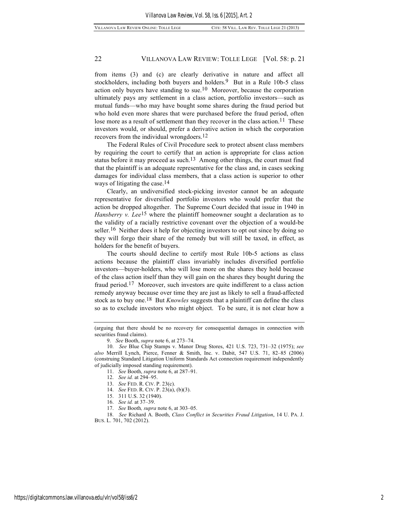### 22 VILLANOVA LAW REVIEW: TOLLE LEGE [Vol. 58: p. 21

from items (3) and (c) are clearly derivative in nature and affect all stockholders, including both buyers and holders.<sup>9</sup> But in a Rule 10b-5 class action only buyers have standing to sue.10 Moreover, because the corporation ultimately pays any settlement in a class action, portfolio investors—such as mutual funds—who may have bought some shares during the fraud period but who hold even more shares that were purchased before the fraud period, often lose more as a result of settlement than they recover in the class action.<sup>11</sup> These investors would, or should, prefer a derivative action in which the corporation recovers from the individual wrongdoers.12

The Federal Rules of Civil Procedure seek to protect absent class members by requiring the court to certify that an action is appropriate for class action status before it may proceed as such.<sup>13</sup> Among other things, the court must find that the plaintiff is an adequate representative for the class and, in cases seeking damages for individual class members, that a class action is superior to other ways of litigating the case.14

Clearly, an undiversified stock-picking investor cannot be an adequate representative for diversified portfolio investors who would prefer that the action be dropped altogether. The Supreme Court decided that issue in 1940 in *Hansberry v. Lee*<sup>15</sup> where the plaintiff homeowner sought a declaration as to the validity of a racially restrictive covenant over the objection of a would-be seller.<sup>16</sup> Neither does it help for objecting investors to opt out since by doing so they will forgo their share of the remedy but will still be taxed, in effect, as holders for the benefit of buyers.

The courts should decline to certify most Rule 10b-5 actions as class actions because the plaintiff class invariably includes diversified portfolio investors—buyer-holders, who will lose more on the shares they hold because of the class action itself than they will gain on the shares they bought during the fraud period.17 Moreover, such investors are quite indifferent to a class action remedy anyway because over time they are just as likely to sell a fraud-affected stock as to buy one.18 But *Knowles* suggests that a plaintiff can define the class so as to exclude investors who might object. To be sure, it is not clear how a

- 12. *See id.* at 294–95.
- 13. *See* FED. R. CIV. P. 23(c).
- 14. *See* FED. R. CIV. P. 23(a), (b)(3).
- 15. 311 U.S. 32 (1940).
- 16. *See id.* at 37–39.
- 17. *See* Booth*, supra* note 6, at 303–05.

18. *See* Richard A. Booth, *Class Conflict in Securities Fraud Litigation*, 14 U. PA. J. BUS. L. 701, 702 (2012).

<sup>(</sup>arguing that there should be no recovery for consequential damages in connection with securities fraud claims).

<sup>9.</sup> *See* Booth, *supra* note 6, at 273–74.

<sup>10.</sup> *See* Blue Chip Stamps v. Manor Drug Stores, 421 U.S. 723, 731–32 (1975); *see also* Merrill Lynch, Pierce, Fenner & Smith, Inc. v. Dabit, 547 U.S. 71, 82–85 (2006) (construing Standard Litigation Uniform Standards Act connection requirement independently of judicially imposed standing requirement).

<sup>11.</sup> *See* Booth, *supra* note 6, at 287–91.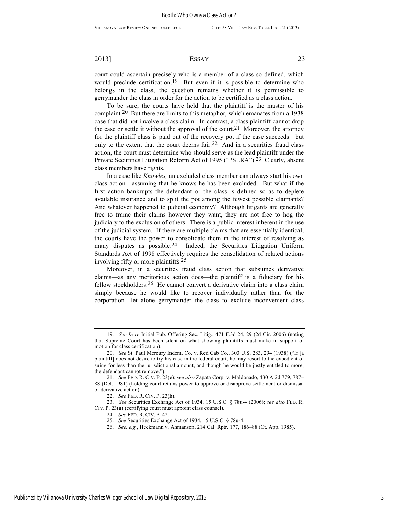### 2013] ESSAY 23

court could ascertain precisely who is a member of a class so defined, which would preclude certification.19 But even if it is possible to determine who belongs in the class, the question remains whether it is permissible to gerrymander the class in order for the action to be certified as a class action.

To be sure, the courts have held that the plaintiff is the master of his complaint.20 But there are limits to this metaphor, which emanates from a 1938 case that did not involve a class claim. In contrast, a class plaintiff cannot drop the case or settle it without the approval of the court.<sup>21</sup> Moreover, the attorney for the plaintiff class is paid out of the recovery pot if the case succeeds—but only to the extent that the court deems fair.22 And in a securities fraud class action, the court must determine who should serve as the lead plaintiff under the Private Securities Litigation Reform Act of 1995 ("PSLRA").23 Clearly, absent class members have rights.

In a case like *Knowles,* an excluded class member can always start his own class action—assuming that he knows he has been excluded. But what if the first action bankrupts the defendant or the class is defined so as to deplete available insurance and to split the pot among the fewest possible claimants? And whatever happened to judicial economy? Although litigants are generally free to frame their claims however they want, they are not free to hog the judiciary to the exclusion of others. There is a public interest inherent in the use of the judicial system. If there are multiple claims that are essentially identical, the courts have the power to consolidate them in the interest of resolving as many disputes as possible.24 Indeed, the Securities Litigation Uniform Standards Act of 1998 effectively requires the consolidation of related actions involving fifty or more plaintiffs.25

Moreover, in a securities fraud class action that subsumes derivative claims—as any meritorious action does—the plaintiff is a fiduciary for his fellow stockholders.26 He cannot convert a derivative claim into a class claim simply because he would like to recover individually rather than for the corporation—let alone gerrymander the class to exclude inconvenient class

23. *See* Securities Exchange Act of 1934, 15 U.S.C. § 78u-4 (2006); *see also* FED. R. CIV. P. 23(g) (certifying court must appoint class counsel).

25. *See* Securities Exchange Act of 1934, 15 U.S.C. § 78u-4.

26. *See, e.g.*, Heckmann v. Ahmanson, 214 Cal. Rptr. 177, 186–88 (Ct. App. 1985).

<sup>19.</sup> *See In re* Initial Pub. Offering Sec. Litig., 471 F.3d 24, 29 (2d Cir. 2006) (noting that Supreme Court has been silent on what showing plaintiffs must make in support of motion for class certification).

<sup>20.</sup> *See* St. Paul Mercury Indem. Co. v. Red Cab Co., 303 U.S. 283, 294 (1938) ("If [a plaintiff] does not desire to try his case in the federal court, he may resort to the expedient of suing for less than the jurisdictional amount, and though he would be justly entitled to more, the defendant cannot remove.").

<sup>21.</sup> *See* FED. R. CIV. P. 23(e); *see also* Zapata Corp. v. Maldonado, 430 A.2d 779, 787– 88 (Del. 1981) (holding court retains power to approve or disapprove settlement or dismissal of derivative action).

<sup>22.</sup> *See* FED. R. CIV. P. 23(h).

<sup>24.</sup> *See* FED. R. CIV. P. 42.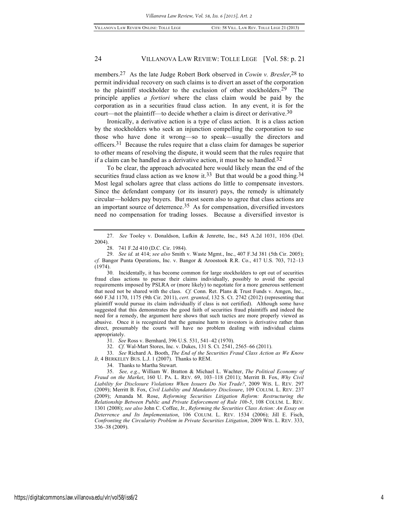### 24 VILLANOVA LAW REVIEW: TOLLE LEGE [Vol. 58: p. 21

members.27 As the late Judge Robert Bork observed in *Cowin v. Bresler*,28 to permit individual recovery on such claims is to divert an asset of the corporation to the plaintiff stockholder to the exclusion of other stockholders.29 The principle applies *a fortiori* where the class claim would be paid by the corporation as in a securities fraud class action. In any event, it is for the court—not the plaintiff—to decide whether a claim is direct or derivative.30

Ironically, a derivative action is a type of class action. It is a class action by the stockholders who seek an injunction compelling the corporation to sue those who have done it wrong—so to speak—usually the directors and officers.31 Because the rules require that a class claim for damages be superior to other means of resolving the dispute, it would seem that the rules require that if a claim can be handled as a derivative action, it must be so handled.32

To be clear, the approach advocated here would likely mean the end of the securities fraud class action as we know it.<sup>33</sup> But that would be a good thing.<sup>34</sup> Most legal scholars agree that class actions do little to compensate investors. Since the defendant company (or its insurer) pays, the remedy is ultimately circular—holders pay buyers. But most seem also to agree that class actions are an important source of deterrence.35 As for compensation, diversified investors need no compensation for trading losses. Because a diversified investor is

31. *See* Ross v. Bernhard, 396 U.S. 531, 541–42 (1970).

32. *Cf.* Wal-Mart Stores, Inc. v. Dukes, 131 S. Ct. 2541, 2565–66 (2011).

33. *See* Richard A. Booth, *The End of the Securities Fraud Class Action as We Know It,* 4 BERKELEY BUS. L.J. 1 (2007). Thanks to REM.

34. Thanks to Martha Stewart.

35. *See, e.g.*, William W. Bratton & Michael L. Wachter, *The Political Economy of Fraud on the Market*, 160 U. PA. L. REV. 69, 103–118 (2011); Merritt B. Fox, *Why Civil Liability for Disclosure Violations When Issuers Do Not Trade?*, 2009 WIS. L. REV. 297 (2009); Merritt B. Fox, *Civil Liability and Mandatory Disclosure*, 109 COLUM. L. REV. 237 (2009); Amanda M. Rose, *Reforming Securities Litigation Reform: Restructuring the Relationship Between Public and Private Enforcement of Rule 10b-5*, 108 COLUM. L. REV. 1301 (2008); *see also* John C. Coffee, Jr., *Reforming the Securities Class Action: An Essay on Deterrence and Its Implementation*, 106 COLUM. L. REV. 1534 (2006); Jill E. Fisch, *Confronting the Circularity Problem in Private Securities Litigation*, 2009 WIS. L. REV. 333, 336–38 (2009).

<sup>27.</sup> *See* Tooley v. Donaldson, Lufkin & Jenrette, Inc., 845 A.2d 1031, 1036 (Del. 2004).

<sup>28.</sup> 741 F.2d 410 (D.C. Cir. 1984).

<sup>29.</sup> *See id.* at 414; *see also* Smith v. Waste Mgmt., Inc., 407 F.3d 381 (5th Cir. 2005); *cf.* Bangor Punta Operations, Inc. v. Bangor & Aroostook R.R. Co., 417 U.S. 703, 712–13 (1974).

<sup>30.</sup> Incidentally, it has become common for large stockholders to opt out of securities fraud class actions to pursue their claims individually, possibly to avoid the special requirements imposed by PSLRA or (more likely) to negotiate for a more generous settlement that need not be shared with the class. *Cf.* Conn. Ret. Plans & Trust Funds v. Amgen, Inc., 660 F.3d 1170, 1175 (9th Cir. 2011), *cert*. *granted*, 132 S. Ct. 2742 (2012) (representing that plaintiff would pursue its claim individually if class is not certified). Although some have suggested that this demonstrates the good faith of securities fraud plaintiffs and indeed the need for a remedy, the argument here shows that such tactics are more properly viewed as abusive. Once it is recognized that the genuine harm to investors is derivative rather than direct, presumably the courts will have no problem dealing with individual claims appropriately.